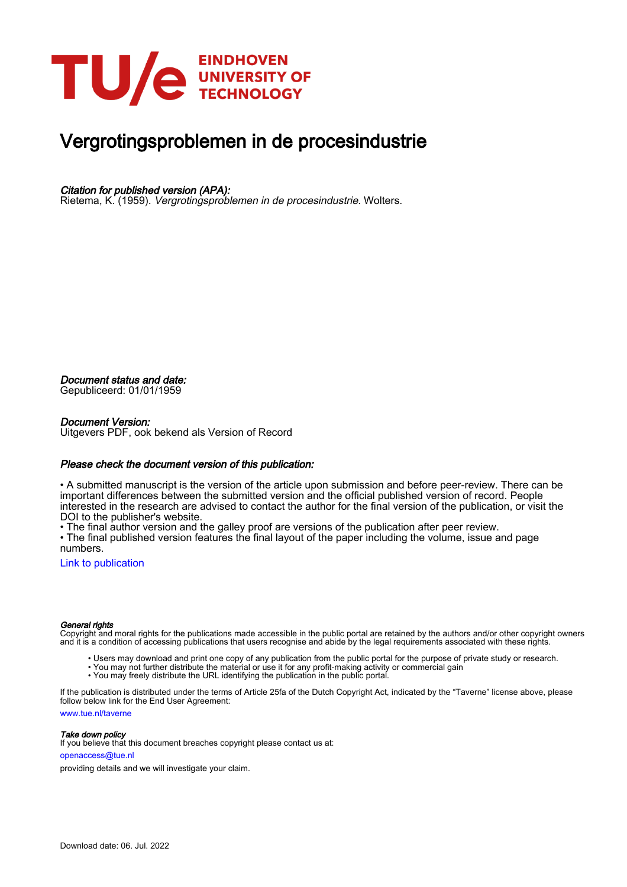

# Vergrotingsproblemen in de procesindustrie

# Citation for published version (APA):

Rietema, K. (1959). Vergrotingsproblemen in de procesindustrie. Wolters.

Document status and date:

Gepubliceerd: 01/01/1959

# Document Version:

Uitgevers PDF, ook bekend als Version of Record

# Please check the document version of this publication:

• A submitted manuscript is the version of the article upon submission and before peer-review. There can be important differences between the submitted version and the official published version of record. People interested in the research are advised to contact the author for the final version of the publication, or visit the DOI to the publisher's website.

• The final author version and the galley proof are versions of the publication after peer review.

• The final published version features the final layout of the paper including the volume, issue and page numbers.

[Link to publication](https://research.tue.nl/nl/publications/9e39fcdf-bb77-448f-a08c-fc7262625f80)

### General rights

Copyright and moral rights for the publications made accessible in the public portal are retained by the authors and/or other copyright owners and it is a condition of accessing publications that users recognise and abide by the legal requirements associated with these rights.

- Users may download and print one copy of any publication from the public portal for the purpose of private study or research.
- You may not further distribute the material or use it for any profit-making activity or commercial gain
- You may freely distribute the URL identifying the publication in the public portal.

If the publication is distributed under the terms of Article 25fa of the Dutch Copyright Act, indicated by the "Taverne" license above, please follow below link for the End User Agreement:

www.tue.nl/taverne

**Take down policy**<br>If you believe that this document breaches copyright please contact us at:

openaccess@tue.nl

providing details and we will investigate your claim.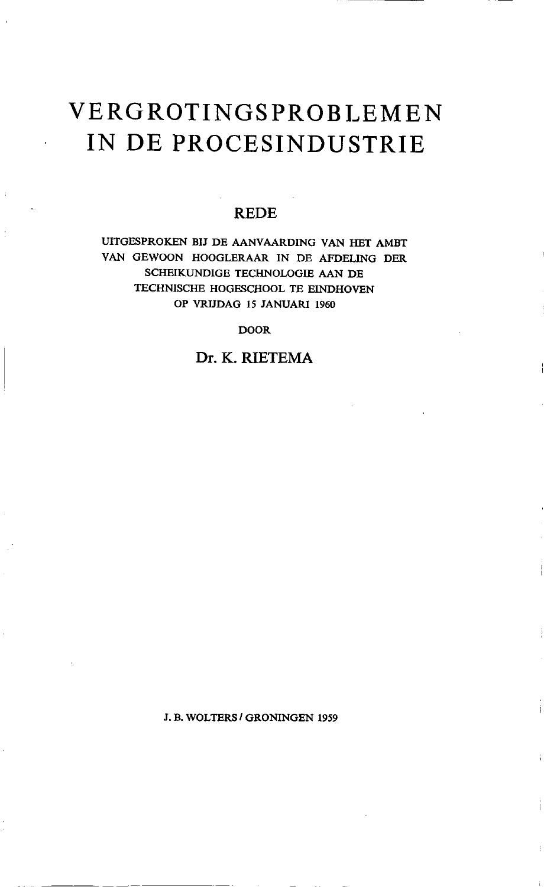# VERGROTINGSPROBLEMEN IN DE PROCESINDUSTRIE

## **REDE**

UITGESPROKEN BIJ DE AANVAARDING VAN HET AMBT VAN GEWOON HOOGLERAAR IN DE AFDELING DER SCHEIKUNDIGE TECHNOLOGIE AAN DE TECHNISCHE HOGESCHOOL TE EINDHOVEN OP VRIJDAG 15 JANUARI 1960

**DOOR** 

# Dr. K. RIETEMA

J. B. WOLTERS / GRONINGEN 1959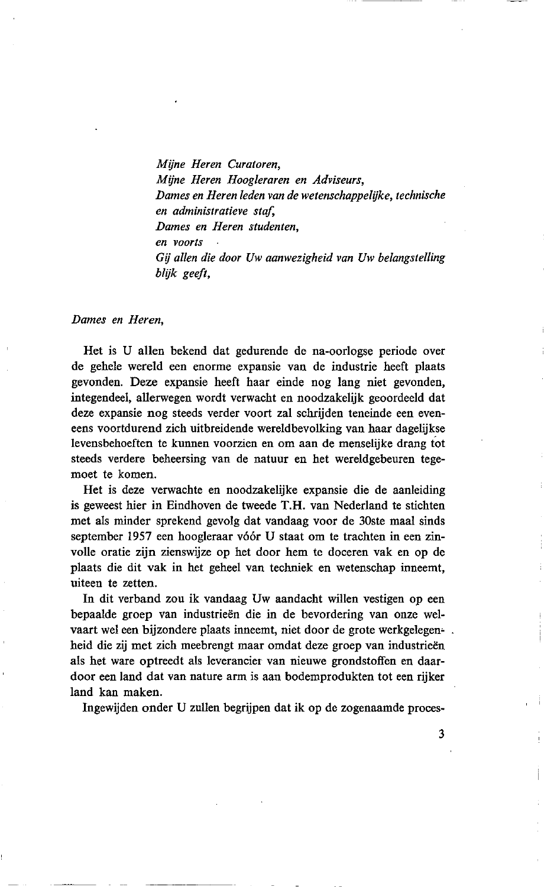Miine Heren Curatoren. Mijne Heren Hoogleraren en Adviseurs. Dames en Heren leden van de wetenschappelijke, technische en administratieve staf. Dames en Heren studenten. en voorts Gii allen die door Uw aanwezigheid van Uw belangstelling blijk geeft,

#### Dames en Heren.

Het is U allen bekend dat gedurende de na-oorlogse periode over de gehele wereld een enorme expansie van de industrie heeft plaats gevonden. Deze expansie heeft haar einde nog lang niet gevonden, integendeel, allerwegen wordt verwacht en noodzakelijk geoordeeld dat deze expansie nog steeds verder voort zal schrijden teneinde een eveneens voortdurend zich uitbreidende wereldbevolking van haar dagelijkse levensbehoeften te kunnen voorzien en om aan de menselijke drang tot steeds verdere beheersing van de natuur en het wereldgebeuren tegemoet te komen.

Het is deze verwachte en noodzakelijke expansie die de aanleiding is geweest hier in Eindhoven de tweede T.H. van Nederland te stichten met als minder sprekend gevolg dat vandaag voor de 30ste maal sinds september 1957 een hoogleraar vóór U staat om te trachten in een zinvolle oratie zijn zienswijze op het door hem te doceren vak en op de plaats die dit vak in het geheel van techniek en wetenschap inneemt, uiteen te zetten.

In dit verband zou ik vandaag Uw aandacht willen vestigen op een bepaalde groep van industrieën die in de bevordering van onze welvaart wel een bijzondere plaats inneemt, niet door de grote werkgelegen-. heid die zij met zich meebrengt maar omdat deze groep van industrieën als het ware optreedt als leverancier van nieuwe grondstoffen en daardoor een land dat van nature arm is aan bodemprodukten tot een rijker land kan maken.

Ingewijden onder U zullen begrijpen dat ik op de zogenaamde proces-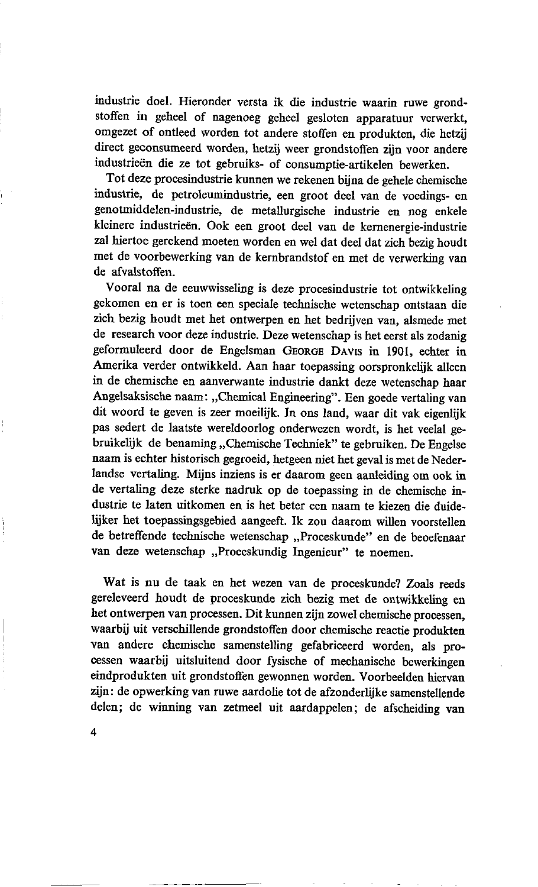industrie doel. Hieronder versta ik die industrie waarin ruwe grondstoffen in geheel of nagenoeg geheel gesloten apparatuur verwerkt, omgezet of ontleed worden tot andere stoffen en produkten, die hetzij direct geconsumeerd worden, hetzij weer grondstoffen zijn voor andere industrieën die ze tot gebruiks- of consumptie-artikelen bewerken.

Tot deze procesindustrie kunnen we rekenen bijna de gehele chemische industrie, de petroleumindustrie, een groot deel van de voedings- en genotmiddelen-industrie, de metallurgische industrie en nog enkele kleinere industrieën. Ook een groot deel van de kernenergie-industrie zal hiertoe gerekend moeten worden en wel dat deel dat zich bezig houdt met de voorbewerking van de kernbrandstof en met de verwerking van de afvalstoffen.

Vooral na de eeuwwisseling is deze procesindustrie tot ontwikkeling gekomen en er is toen een speciale technische wetenschap ontstaan die zich bezig houdt met het ontwerpen en het bedrijven van, alsmede met de research voor deze industrie. Deze wetenschap is het eerst als zodanig geformuleerd door de Engelsman GEORGE DAVIS in 1901, echter in Amerika verder ontwikkeld. Aan haar toepassing oorspronkelijk alleen in de chemische en aanverwante industrie dankt deze wetenschap haar Angelsaksische naam: "Chemical Engineering". Een goede vertaling van dit woord te geven is zeer moeilijk. In ons land, waar dit vak eigenlijk pas sedert de laatste wereldoorlog onderwezen wordt, is het veelal gebruikelijk de benaming "Chemische Techniek" te gebruiken. De Engelse naam is echter historisch gegroeid, hetgeen niet het geval is met de Nederlandse vertaling. Mijns inziens is er daarom geen aanleiding om ook in de vertaling deze sterke nadruk op de toepassing in de chemische industrie te laten uitkomen en is het beter een naam te kiezen die duidelijker het toepassingsgebied aangeeft. Ik zou daarom willen voorstellen de betreffende technische wetenschap "Proceskunde" en de beoefenaar van deze wetenschap "Proceskundig Ingenieur" te noemen.

Wat is nu de taak en het wezen van de proceskunde? Zoals reeds gereleveerd houdt de proceskunde zich bezig met de ontwikkeling en het ontwerpen van processen. Dit kunnen zijn zowel chemische processen, waarbij uit verschillende grondstoffen door chemische reactie produkten van andere chemische samenstelling gefabriceerd worden, als processen waarbij uitsluitend door fysische of mechanische bewerkingen eindprodukten uit grondstoffen gewonnen worden. Voorbeelden hiervan zijn: de opwerking van ruwe aardolie tot de afzonderlijke samenstellende delen; de winning van zetmeel uit aardappelen; de afscheiding van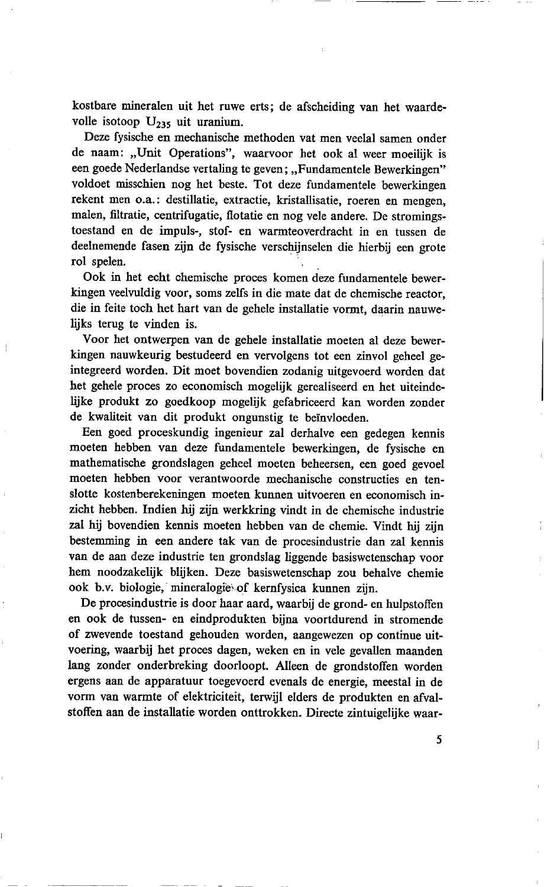kostbare mineralen uit het ruwe erts; de afscheiding van het waardevolle isotoop  $U_{235}$  uit uranium.

Deze fysische en mechanische methoden vat men veelal samen onder de naam: "Unit Operations", waarvoor het ook al weer moeilijk is een goede Nederlandse vertaling te geven; "Fundamentele Bewerkingen" voldoet misschien nog het beste. Tot deze fundamentele bewerkingen rekent men o.a.: destillatie, extractie, kristallisatie, roeren en mengen, malen, filtratie, centrifugatie, flotatie en nog vele andere. De stromingstoestand en de impuls-, stof- en warmteoverdracht in en tussen de deelnemende fasen zijn de fysische verschijnselen die hierbij een grote rol spelen.

Ook in het echt chemische proces komen deze fundamentele bewerkingen veelvuldig voor, soms zelfs in die mate dat de chemische reactor, die in feite toch het hart van de gehele installatie vormt, daarin nauwelijks terug te vinden is.

Voor het ontwerpen van de gehele installatie moeten al deze bewerkingen nauwkeurig bestudeerd en vervolgens tot een zinvol geheel geintegreerd worden. Dit moet bovendien zodanig uitgevoerd worden dat het gehele proces zo economisch mogelijk gerealiseerd en het uiteindelijke produkt zo goedkoop mogelijk gefabriceerd kan worden zonder de kwaliteit van dit produkt ongunstig te beïnvloeden.

Een goed proceskundig ingenieur zal derhalve een gedegen kennis moeten hebben van deze fundamentele bewerkingen, de fysische en mathematische grondslagen geheel moeten beheersen, een goed gevoel moeten hebben voor verantwoorde mechanische constructies en tenslotte kostenberekeningen moeten kunnen uitvoeren en economisch inzicht hebben. Indien hij zijn werkkring vindt in de chemische industrie zal hij bovendien kennis moeten hebben van de chemie. Vindt hij zijn bestemming in een andere tak van de procesindustrie dan zal kennis van de aan deze industrie ten grondslag liggende basiswetenschap voor hem noodzakelijk blijken. Deze basiswetenschap zou behalve chemie ook b.v. biologie, mineralogie of kernfysica kunnen zijn.

De procesindustrie is door haar aard, waarbij de grond- en hulpstoffen en ook de tussen- en eindprodukten bijna voortdurend in stromende of zwevende toestand gehouden worden, aangewezen op continue uitvoering, waarbij het proces dagen, weken en in vele gevallen maanden lang zonder onderbreking doorloopt. Alleen de grondstoffen worden ergens aan de apparatuur toegevoerd evenals de energie, meestal in de vorm van warmte of elektriciteit, terwijl elders de produkten en afvalstoffen aan de installatie worden onttrokken. Directe zintuigelijke waar-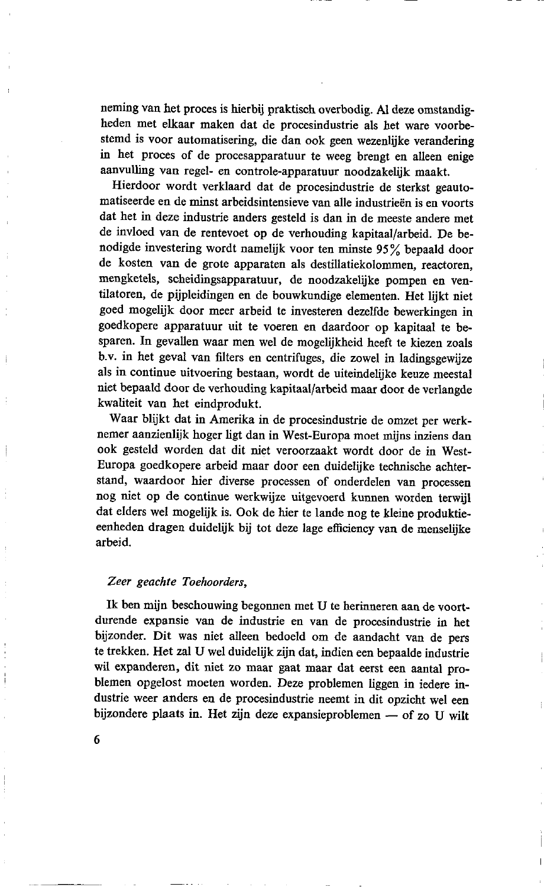neming van het proces is hierbij praktisch overbodig. Al deze omstandigheden met elkaar maken dat de procesindustrie als het ware voorbestemd is voor automatisering, die dan ook geen wezenlijke verandering in het proces of de procesapparatuur te weeg brengt en alleen enige aanvulling van regel- en controle-apparatuur noodzakelijk maakt.

Hierdoor wordt verklaard dat de procesindustrie de sterkst geautomatiseerde en de minst arbeidsintensieve van alle industrieën is en voorts dat het in deze industrie anders gesteld is dan in de meeste andere met de invloed van de rentevoet op de verhouding kapitaal/arbeid. De benodigde investering wordt namelijk voor ten minste 95% bepaald door de kosten van de grote apparaten als destillatiekolommen, reactoren, mengketels, scheidingsapparatuur, de noodzakelijke pompen en ventilatoren, de pijpleidingen en de bouwkundige elementen. Het lijkt niet goed mogelijk door meer arbeid te investeren dezelfde bewerkingen in goedkopere apparatuur uit te voeren en daardoor op kapitaal te besparen. In gevallen waar men wel de mogelijkheid heeft te kiezen zoals b.v. in het geval van filters en centrifuges, die zowel in ladingsgewijze als in continue uitvoering bestaan, wordt de uiteindelijke keuze meestal niet bepaald door de verhouding kapitaal/arbeid maar door de verlangde kwaliteit van het eindprodukt.

Waar blijkt dat in Amerika in de procesindustrie de omzet per werknemer aanzienlijk hoger ligt dan in West-Europa moet mijns inziens dan ook gesteld worden dat dit niet veroorzaakt wordt door de in West-Europa goedkopere arbeid maar door een duidelijke technische achterstand, waardoor hier diverse processen of onderdelen van processen nog niet op de continue werkwijze uitgevoerd kunnen worden terwijl dat elders wel mogelijk is. Ook de hier te lande nog te kleine produktieeenheden dragen duidelijk bij tot deze lage efficiency van de menselijke arbeid.

#### Zeer geachte Toehoorders.

Ik ben mijn beschouwing begonnen met U te herinneren aan de voortdurende expansie van de industrie en van de procesindustrie in het bijzonder. Dit was niet alleen bedoeld om de aandacht van de pers te trekken. Het zal U wel duidelijk zijn dat, indien een bepaalde industrie wil expanderen, dit niet zo maar gaat maar dat eerst een aantal problemen opgelost moeten worden. Deze problemen liggen in iedere industrie weer anders en de procesindustrie neemt in dit opzicht wel een bijzondere plaats in. Het zijn deze expansieproblemen — of zo U wilt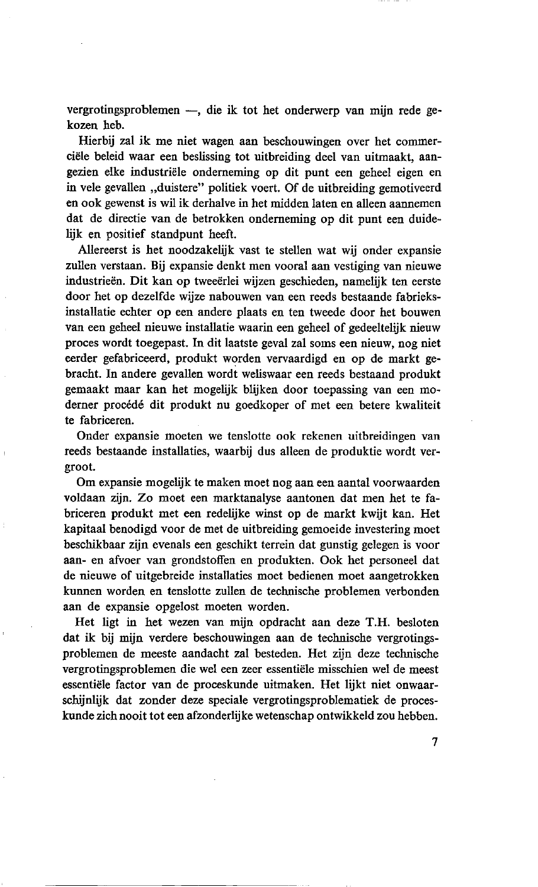vergrotingsproblemen -, die ik tot het onderwerp van mijn rede gekozen heb.

Hierbij zal ik me niet wagen aan beschouwingen over het commerciële beleid waar een beslissing tot uitbreiding deel van uitmaakt, aangezien elke industriële onderneming op dit punt een geheel eigen en in vele gevallen "duistere" politiek voert. Of de uitbreiding gemotiveerd en ook gewenst is wil ik derhalve in het midden laten en alleen aannemen dat de directie van de betrokken onderneming op dit punt een duidelijk en positief standpunt heeft.

Allereerst is het noodzakelijk vast te stellen wat wij onder expansie zullen verstaan. Bij expansie denkt men vooral aan vestiging van nieuwe industrieën. Dit kan op tweeërlei wijzen geschieden, namelijk ten eerste door het op dezelfde wijze nabouwen van een reeds bestaande fabrieksinstallatie echter op een andere plaats en ten tweede door het bouwen van een geheel nieuwe installatie waarin een geheel of gedeeltelijk nieuw proces wordt toegepast. In dit laatste geval zal soms een nieuw, nog niet eerder gefabriceerd, produkt worden vervaardigd en op de markt gebracht. In andere gevallen wordt weliswaar een reeds bestaand produkt gemaakt maar kan het mogelijk blijken door toepassing van een moderner procédé dit produkt nu goedkoper of met een betere kwaliteit te fabriceren.

Onder expansie moeten we tenslotte ook rekenen uitbreidingen van reeds bestaande installaties, waarbij dus alleen de produktie wordt vergroot.

Om expansie mogelijk te maken moet nog aan een aantal voorwaarden voldaan zijn. Zo moet een marktanalyse aantonen dat men het te fabriceren produkt met een redelijke winst op de markt kwijt kan. Het kapitaal benodigd voor de met de uitbreiding gemoeide investering moet beschikbaar zijn evenals een geschikt terrein dat gunstig gelegen is voor aan- en afvoer van grondstoffen en produkten. Ook het personeel dat de nieuwe of uitgebreide installaties moet bedienen moet aangetrokken kunnen worden en tenslotte zullen de technische problemen verbonden aan de expansie opgelost moeten worden.

Het ligt in het wezen van mijn opdracht aan deze T.H. besloten dat ik bij mijn verdere beschouwingen aan de technische vergrotingsproblemen de meeste aandacht zal besteden. Het zijn deze technische vergrotingsproblemen die wel een zeer essentiële misschien wel de meest essentiële factor van de proceskunde uitmaken. Het lijkt niet onwaarschijnlijk dat zonder deze speciale vergrotingsproblematiek de proceskunde zich nooit tot een afzonderlijke wetenschap ontwikkeld zou hebben.

 $\overline{7}$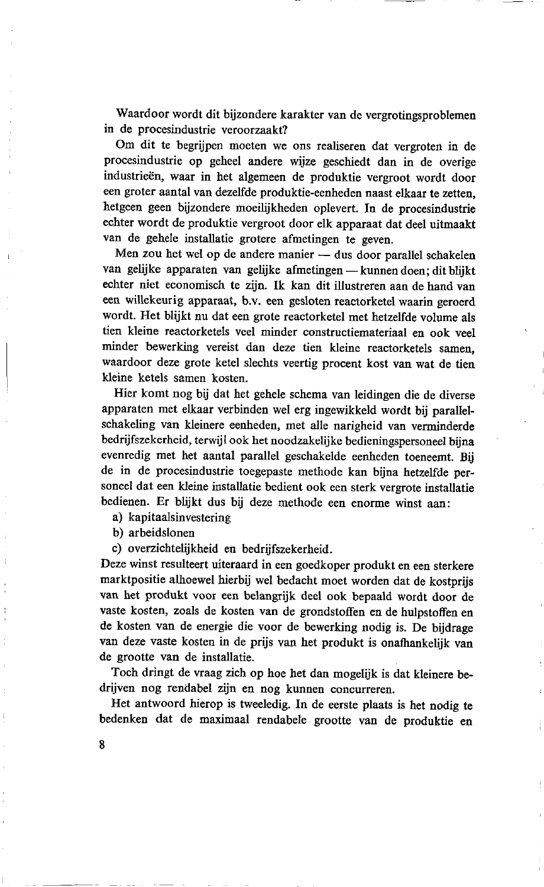Waardoor wordt dit bijzondere karakter van de vergrotingsproblemen in de procesindustrie veroorzaakt?

Om dit te begrijpen moeten we ons realiseren dat vergroten in de procesindustrie op geheel andere wijze geschiedt dan in de overige industrieën, waar in het algemeen de produktie vergroot wordt door een groter aantal van dezelfde produktie-eenheden naast elkaar te zetten, hetgeen geen bijzondere moeilijkheden oplevert. In de procesindustrie echter wordt de produktie vergroot door elk apparaat dat deel uitmaakt van de gehele installatie grotere afmetingen te geven.

Men zou het wel op de andere manier - dus door parallel schakelen van gelijke apparaten van gelijke afmetingen - kunnen doen; dit blijkt echter niet economisch te zijn. Ik kan dit illustreren aan de hand van een willekeurig apparaat, b.v. een gesloten reactorketel waarin geroerd wordt. Het blijkt nu dat een grote reactorketel met hetzelfde volume als tien kleine reactorketels veel minder constructiemateriaal en ook veel minder bewerking vereist dan deze tien kleine reactorketels samen. waardoor deze grote ketel slechts veertig procent kost van wat de tien kleine ketels samen kosten.

Hier komt nog bij dat het gehele schema van leidingen die de diverse apparaten met elkaar verbinden wel erg ingewikkeld wordt bij parallelschakeling van kleinere eenheden, met alle narigheid van verminderde bedrijfszekerheid, terwijl ook het noodzakelijke bedieningspersoneel bijna evenredig met het aantal parallel geschakelde eenheden toeneemt. Bij de in de procesindustrie toegepaste methode kan bijna hetzelfde personeel dat een kleine installatie bedient ook een sterk vergrote installatie bedienen. Er blijkt dus bij deze methode een enorme winst aan:

a) kapitaalsinvestering

b) arbeidslonen

c) overzichtelijkheid en bedrijfszekerheid.

Deze winst resulteert uiteraard in een goedkoper produkt en een sterkere marktpositie alhoewel hierbij wel bedacht moet worden dat de kostprijs van het produkt voor een belangrijk deel ook bepaald wordt door de vaste kosten, zoals de kosten van de grondstoffen en de hulpstoffen en de kosten van de energie die voor de bewerking nodig is. De bijdrage van deze vaste kosten in de prijs van het produkt is onafhankelijk van de grootte van de installatie.

Toch dringt de vraag zich op hoe het dan mogelijk is dat kleinere bedrijven nog rendabel zijn en nog kunnen concurreren.

Het antwoord hierop is tweeledig. In de eerste plaats is het nodig te bedenken dat de maximaal rendabele grootte van de produktie en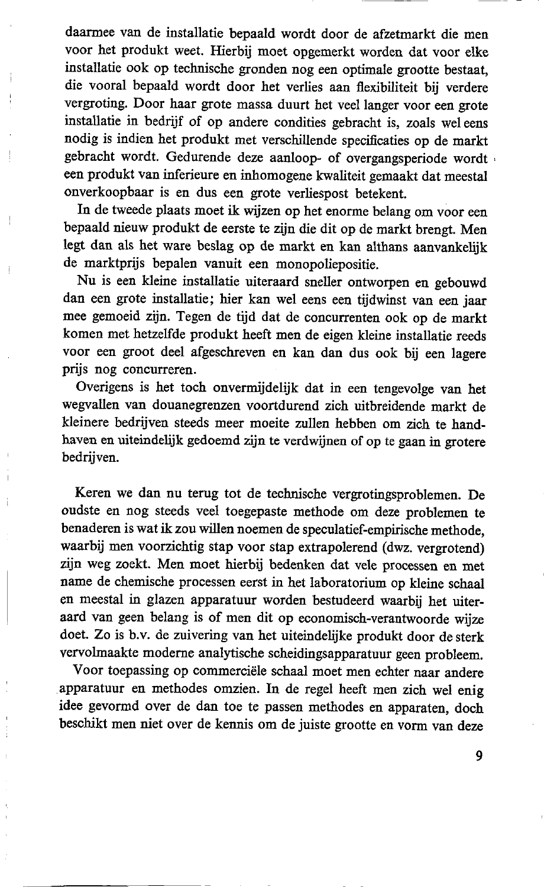daarmee van de installatie bepaald wordt door de afzetmarkt die men voor het produkt weet. Hierbij moet opgemerkt worden dat voor elke installatie ook op technische gronden nog een optimale grootte bestaat, die vooral bepaald wordt door het verlies aan flexibiliteit bij verdere vergroting. Door haar grote massa duurt het veel langer voor een grote installatie in bedrijf of op andere condities gebracht is, zoals wel eens nodig is indien het produkt met verschillende specificaties op de markt gebracht wordt. Gedurende deze aanloop- of overgangsperiode wordt een produkt van inferieure en inhomogene kwaliteit gemaakt dat meestal onverkoopbaar is en dus een grote verliespost betekent.

Í

j

ļ

j

In de tweede plaats moet ik wijzen op het enorme belang om voor een bepaald nieuw produkt de eerste te zijn die dit op de markt brengt. Men legt dan als het ware beslag op de markt en kan althans aanvankelijk de marktprijs bepalen vanuit een monopoliepositie.

Nu is een kleine installatie uiteraard sneller ontworpen en gebouwd dan een grote installatie; hier kan wel eens een tijdwinst van een jaar mee gemoeid zijn. Tegen de tijd dat de concurrenten ook op de markt komen met hetzelfde produkt heeft men de eigen kleine installatie reeds voor een groot deel afgeschreven en kan dan dus ook bij een lagere prijs nog concurreren.

Overigens is het toch onvermijdelijk dat in een tengevolge van het wegvallen van douanegrenzen voortdurend zich uitbreidende markt de kleinere bedrijven steeds meer moeite zullen hebben om zich te handhaven en uiteindelijk gedoemd zijn te verdwijnen of op te gaan in grotere bedrijven.

Keren we dan nu terug tot de technische vergrotingsproblemen. De oudste en nog steeds veel toegepaste methode om deze problemen te benaderen is wat ik zou willen noemen de speculatief-empirische methode. waarbij men voorzichtig stap voor stap extrapolerend (dwz. vergrotend) zijn weg zoekt. Men moet hierbij bedenken dat vele processen en met name de chemische processen eerst in het laboratorium op kleine schaal en meestal in glazen apparatuur worden bestudeerd waarbij het uiteraard van geen belang is of men dit op economisch-verantwoorde wijze doet. Zo is b.v. de zuivering van het uiteindelijke produkt door de sterk vervolmaakte moderne analytische scheidingsapparatuur geen probleem.

Voor toepassing op commerciële schaal moet men echter naar andere apparatuur en methodes omzien. In de regel heeft men zich wel enig idee gevormd over de dan toe te passen methodes en apparaten, doch beschikt men niet over de kennis om de juiste grootte en vorm van deze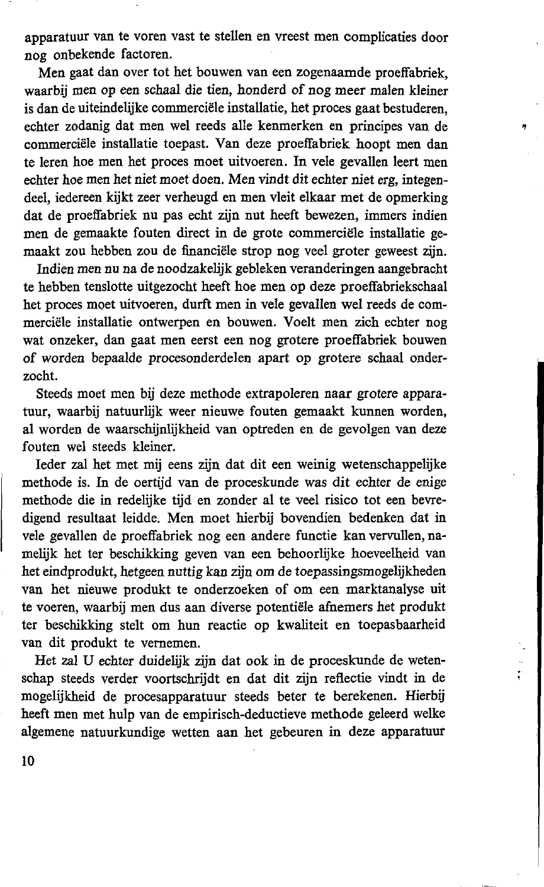apparatuur van te voren vast te stellen en vreest men complicaties door nog onbekende factoren.

Men gaat dan over tot het bouwen van een zogenaamde proeffabriek. waarbij men op een schaal die tien, honderd of nog meer malen kleiner is dan de uiteindelijke commerciële installatie, het proces gaat bestuderen. echter zodanig dat men wel reeds alle kenmerken en principes van de commerciële installatie toepast. Van deze proeffabriek hoopt men dan te leren hoe men het proces moet uitvoeren. In vele gevallen leert men echter hoe men het niet moet doen. Men vindt dit echter niet erg, integendeel, iedereen kijkt zeer verheugd en men vleit elkaar met de opmerking dat de proeffabriek nu pas echt zijn nut heeft bewezen, immers indien men de gemaakte fouten direct in de grote commerciële installatie gemaakt zou hebben zou de financiële strop nog veel groter geweest zijn.

n

Indien men nu na de noodzakelijk gebleken veranderingen aangebracht te hebben tenslotte uitgezocht heeft hoe men op deze proeffabriekschaal het proces moet uitvoeren, durft men in vele gevallen wel reeds de commerciële installatie ontwerpen en bouwen. Voelt men zich echter nog wat onzeker, dan gaat men eerst een nog grotere proeffabriek bouwen of worden bepaalde procesonderdelen apart op grotere schaal onderzocht.

Steeds moet men bij deze methode extrapoleren naar grotere apparatuur, waarbij natuurlijk weer nieuwe fouten gemaakt kunnen worden, al worden de waarschijnlijkheid van optreden en de gevolgen van deze fouten wel steeds kleiner.

Ieder zal het met mij eens zijn dat dit een weinig wetenschappelijke methode is. In de oertijd van de proceskunde was dit echter de enige methode die in redelijke tijd en zonder al te veel risico tot een bevredigend resultaat leidde. Men moet hierbij bovendien bedenken dat in vele gevallen de proeffabriek nog een andere functie kan vervullen, namelijk het ter beschikking geven van een behoorlijke hoeveelheid van het eindprodukt, hetgeen nuttig kan zijn om de toepassingsmogelijkheden van het nieuwe produkt te onderzoeken of om een marktanalyse uit te voeren, waarbij men dus aan diverse potentiële afnemers het produkt ter beschikking stelt om hun reactie op kwaliteit en toepasbaarheid van dit produkt te vernemen.

Het zal U echter duidelijk zijn dat ook in de proceskunde de wetenschap steeds verder voortschrijdt en dat dit zijn reflectie vindt in de mogelijkheid de procesapparatuur steeds beter te berekenen. Hierbij heeft men met hulp van de empirisch-deductieve methode geleerd welke algemene natuurkundige wetten aan het gebeuren in deze apparatuur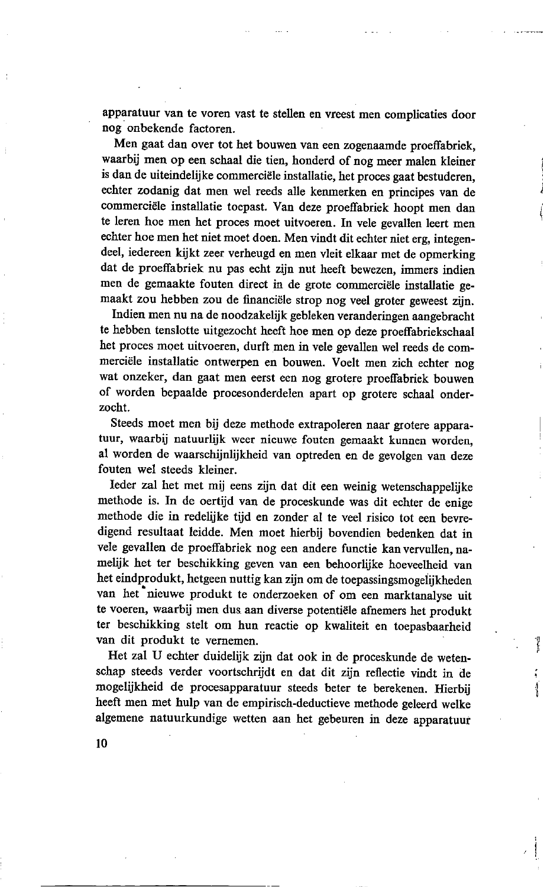apparatuur van te voren vast te stellen en vreest men complicaties door nog onbekende factoren.

Men gaat dan over tot het bouwen van een zogenaamde proeffabriek, waarbij men op een schaal die tien, honderd of nog meer malen kleiner is dan de uiteindelijke commerciële installatie, het proces gaat bestuderen, echter zodanig dat men wel reeds alle kenmerken en principes van de commerciële installatie toepast. Van deze proeffabriek hoopt men dan te leren hoe men het proces moet uitvoeren. In vele gevallen leert men echter hoe men het niet moet doen. Men vindt dit echter niet erg, integendeel, iedereen kijkt zeer verheugd en men vleit elkaar met de opmerking dat de proeffabriek nu pas echt zijn nut heeft bewezen, immers indien men de gemaakte fouten direct in de grote commerciële installatie gemaakt zou hebben zou de financiële strop nog veel groter geweest zijn.

Indien men nu na de noodzakelijk gebleken veranderingen aangebracht te hebben tenslotte uitgezocht heeft hoe men op deze proeffabriekschaal het proces moet uitvoeren, durft men in vele gevallen wel reeds de commerciële installatie ontwerpen en bouwen. Voelt men zich echter nog wat onzeker, dan gaat men eerst een nog grotere proeffabriek bouwen of worden bepaalde procesonderdelen apart op grotere schaal onderzocht.

Steeds moet men bij deze methode extrapoleren naar grotere apparatuur, waarbij natuurlijk weer nicuwe fouten gemaakt kunnen worden, al worden de waarschijnlijkheid van optreden en de gevolgen van deze fouten wel steeds kleiner.

Ieder zal het met mij eens zijn dat dit een weinig wetenschappelijke methode is. In de oertijd van de proceskunde was dit echter de enige methode die in redelijke tijd en zonder al te veel risico tot een bevredigend resultaat leidde. Men moet hierbij bovendien bedenken dat in vele gevallen de proeffabriek nog een andere functie kan vervullen, namelijk het ter beschikking geven van een behoorlijke hoeveelheid van het eindprodukt, hetgeen nuttig kan zijn om de toepassingsmogelijkheden van het nieuwe produkt te onderzoeken of om een marktanalyse uit te voeren, waarbij men dus aan diverse potentiële afnemers het produkt ter beschikking stelt om hun reactie op kwaliteit en toepasbaarheid van dit produkt te vernemen.

Het zal U echter duidelijk zijn dat ook in de proceskunde de wetenschap steeds verder voortschrijdt en dat dit zijn reflectie vindt in de mogelijkheid de procesapparatuur steeds beter te berekenen. Hierbij heeft men met hulp van de empirisch-deductieve methode geleerd welke algemene natuurkundige wetten aan het gebeuren in deze apparatuur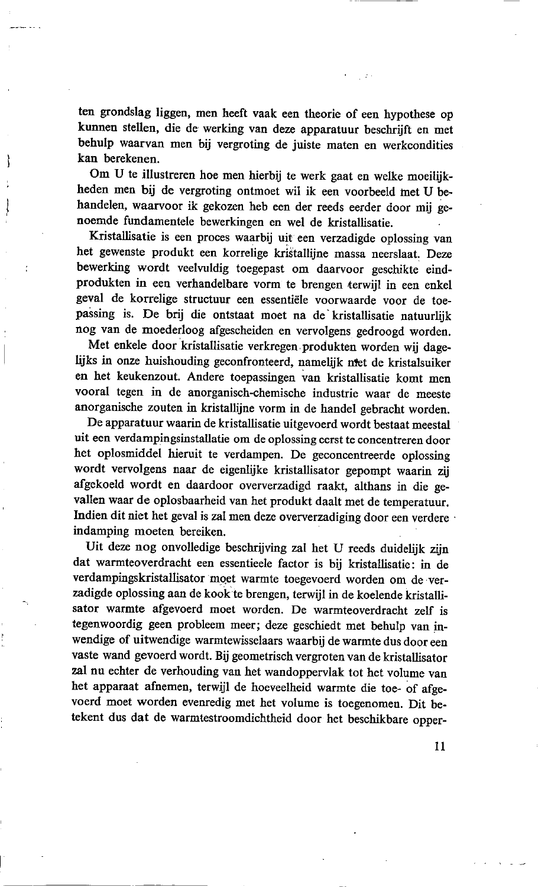ten grondslag liggen, men heeft vaak een theorie of een hypothese op kunnen stellen, die de werking van deze apparatuur beschrijft en met behulp waarvan men bij vergroting de juiste maten en werkcondities kan berekenen.

ļ

l

Om U te illustreren hoe men hierbij te werk gaat en welke moeilijkheden men bij de vergroting ontmoet wil ik een voorbeeld met U behandelen, waarvoor ik gekozen heb een der reeds eerder door mij genoemde fundamentele bewerkingen en wel de kristallisatie.

Kristallisatie is een proces waarbij uit een verzadigde oplossing van het gewenste produkt een korrelige kristallijne massa neerslaat. Deze bewerking wordt veelvuldig toegepast om daarvoor geschikte eindprodukten in een verhandelbare vorm te brengen terwijl in een enkel geval de korrelige structuur een essentiële voorwaarde voor de toepassing is. De brij die ontstaat moet na de kristallisatie natuurlijk nog van de moederloog afgescheiden en vervolgens gedroogd worden.

Met enkele door kristallisatie verkregen produkten worden wij dagelijks in onze huishouding geconfronteerd, namelijk met de kristalsuiker en het keukenzout. Andere toepassingen van kristallisatie komt men vooral tegen in de anorganisch-chemische industrie waar de meeste anorganische zouten in kristallijne vorm in de handel gebracht worden.

De apparatuur waarin de kristallisatie uitgevoerd wordt bestaat meestal uit een verdampingsinstallatie om de oplossing cerst te concentreren door het oplosmiddel hieruit te verdampen. De geconcentreerde oplossing wordt vervolgens naar de eigenlijke kristallisator gepompt waarin zij afgekoeld wordt en daardoor oververzadigd raakt, althans in die gevallen waar de oplosbaarheid van het produkt daalt met de temperatuur. Indien dit niet het geval is zal men deze oververzadiging door een verdere indamping moeten bereiken.

Uit deze nog onvolledige beschrijving zal het U reeds duidelijk zijn dat warmteoverdracht een essentieele factor is bij kristallisatie: in de verdampingskristallisator moet warmte toegevoerd worden om de verzadigde oplossing aan de kook te brengen, terwijl in de koelende kristallisator warmte afgevoerd moet worden. De warmteoverdracht zelf is tegenwoordig geen probleem meer; deze geschiedt met behulp van inwendige of uitwendige warmtewisselaars waarbij de warmte dus door een vaste wand gevoerd wordt. Bij geometrisch vergroten van de kristallisator zal nu echter de verhouding van het wandoppervlak tot het volume van het apparaat afnemen, terwijl de hoeveelheid warmte die toe- of afgevoerd moet worden evenredig met het volume is toegenomen. Dit betekent dus dat de warmtestroomdichtheid door het beschikbare opper-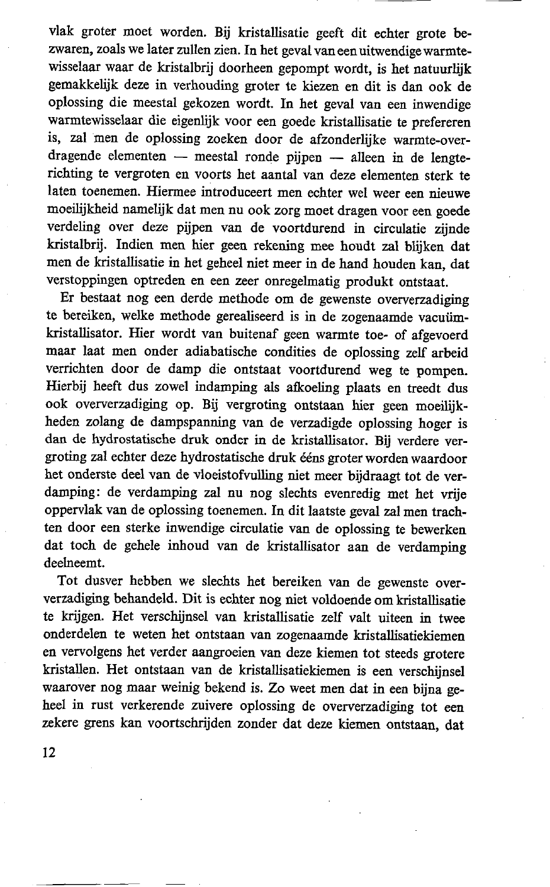vlak groter moet worden. Bij kristallisatie geeft dit echter grote bezwaren, zoals we later zullen zien. In het geval van een uitwendige warmtewisselaar waar de kristalbrij doorheen gepompt wordt, is het natuurlijk gemakkelijk deze in verhouding groter te kiezen en dit is dan ook de oplossing die meestal gekozen wordt. In het geval van een inwendige warmtewisselaar die eigenlijk voor een goede kristallisatie te prefereren is, zal men de oplossing zoeken door de afzonderlijke warmte-overdragende elementen — meestal ronde pijpen — alleen in de lengterichting te vergroten en voorts het aantal van deze elementen sterk te laten toenemen. Hiermee introduceert men echter wel weer een nieuwe moeilijkheid namelijk dat men nu ook zorg moet dragen voor een goede verdeling over deze pijpen van de voortdurend in circulatie zijnde kristalbrij. Indien men hier geen rekening mee houdt zal blijken dat men de kristallisatie in het geheel niet meer in de hand houden kan, dat verstoppingen optreden en een zeer onregelmatig produkt ontstaat.

Er bestaat nog een derde methode om de gewenste oververzadiging te bereiken, welke methode gerealiseerd is in de zogenaamde vacuümkristallisator. Hier wordt van buitenaf geen warmte toe- of afgevoerd maar laat men onder adiabatische condities de oplossing zelf arbeid verrichten door de damp die ontstaat voortdurend weg te pompen. Hierbij heeft dus zowel indamping als afkoeling plaats en treedt dus ook oververzadiging op. Bij vergroting ontstaan hier geen moeilijkheden zolang de dampspanning van de verzadigde oplossing hoger is dan de hydrostatische druk onder in de kristallisator. Bij verdere vergroting zal echter deze hydrostatische druk ééns groter worden waardoor het onderste deel van de vloeistofvulling niet meer bijdraagt tot de verdamping: de verdamping zal nu nog slechts evenredig met het vrije oppervlak van de oplossing toenemen. In dit laatste geval zal men trachten door een sterke inwendige circulatie van de oplossing te bewerken dat toch de gehele inhoud van de kristallisator aan de verdamping deelneemt.

Tot dusver hebben we slechts het bereiken van de gewenste oververzadiging behandeld. Dit is echter nog niet voldoende om kristallisatie te krijgen. Het verschijnsel van kristallisatie zelf valt uiteen in twee onderdelen te weten het ontstaan van zogenaamde kristallisatiekiemen en vervolgens het verder aangroeien van deze kiemen tot steeds grotere kristallen. Het ontstaan van de kristallisatiekiemen is een verschijnsel waarover nog maar weinig bekend is. Zo weet men dat in een bijna geheel in rust verkerende zuivere oplossing de oververzadiging tot een zekere grens kan voortschrijden zonder dat deze kiemen ontstaan, dat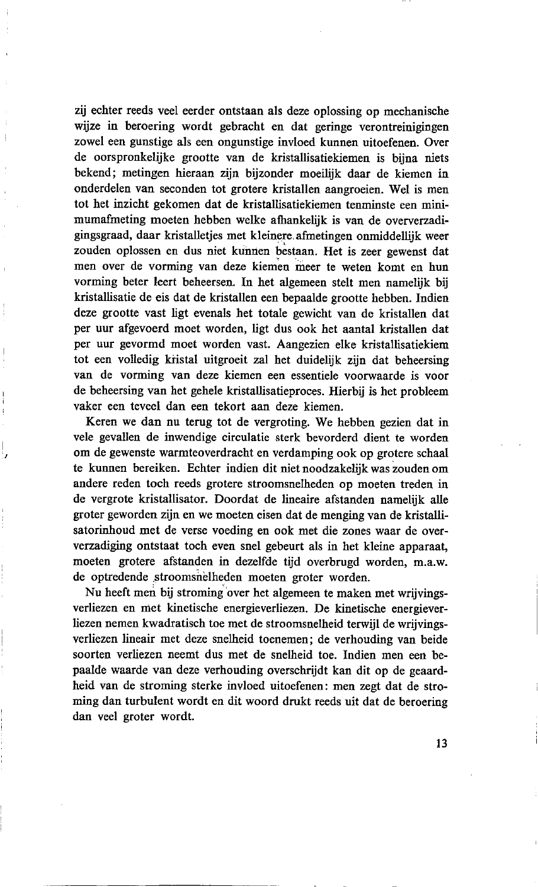zij echter reeds veel eerder ontstaan als deze oplossing op mechanische wijze in beroering wordt gebracht en dat geringe verontreinigingen zowel een gunstige als een ongunstige invloed kunnen uitoefenen. Over de oorspronkelijke grootte van de kristallisatiekiemen is bijna niets bekend; metingen hieraan zijn bijzonder moeilijk daar de kiemen in onderdelen van seconden tot grotere kristallen aangroeien. Wel is men tot het inzicht gekomen dat de kristallisatiekiemen tenminste een minimumafmeting moeten hebben welke afhankelijk is van de oververzadigingsgraad, daar kristalleties met kleinere afmetingen onmiddellijk weer zouden oplossen en dus niet kunnen bestaan. Het is zeer gewenst dat men over de vorming van deze kiemen meer te weten komt en hun vorming beter leert beheersen. In het algemeen stelt men namelijk bij kristallisatie de eis dat de kristallen een bepaalde grootte hebben. Indien deze grootte vast ligt evenals het totale gewicht van de kristallen dat per uur afgevoerd moet worden, ligt dus ook het aantal kristallen dat per uur gevormd moet worden vast. Aangezien elke kristallisatiekiem tot een volledig kristal uitgroeit zal het duidelijk zijn dat beheersing van de vorming van deze kiemen een essentiele voorwaarde is voor de beheersing van het gehele kristallisatieproces. Hierbij is het probleem vaker een teveel dan een tekort aan deze kiemen.

Keren we dan nu terug tot de vergroting. We hebben gezien dat in vele gevallen de inwendige circulatie sterk bevorderd dient te worden om de gewenste warmteoverdracht en verdamping ook op grotere schaal te kunnen bereiken. Echter indien dit niet noodzakelijk was zouden om andere reden toch reeds grotere stroomsnelheden op moeten treden in de vergrote kristallisator. Doordat de lineaire afstanden namelijk alle groter geworden zijn en we moeten eisen dat de menging van de kristallisatorinhoud met de verse voeding en ook met die zones waar de oververzadiging ontstaat toch even snel gebeurt als in het kleine apparaat, moeten grotere afstanden in dezelfde tijd overbrugd worden, m.a.w. de optredende stroomsnelheden moeten groter worden.

Nu heeft men bij stroming over het algemeen te maken met wrijvingsverliezen en met kinetische energieverliezen. De kinetische energieverliezen nemen kwadratisch toe met de stroomsnelheid terwijl de wrijvingsverliezen lineair met deze snelheid toenemen; de verhouding van beide soorten verliezen neemt dus met de snelheid toe. Indien men een bepaalde waarde van deze verhouding overschrijdt kan dit op de geaardheid van de stroming sterke invloed uitoefenen: men zegt dat de stroming dan turbulent wordt en dit woord drukt reeds uit dat de beroering dan veel groter wordt.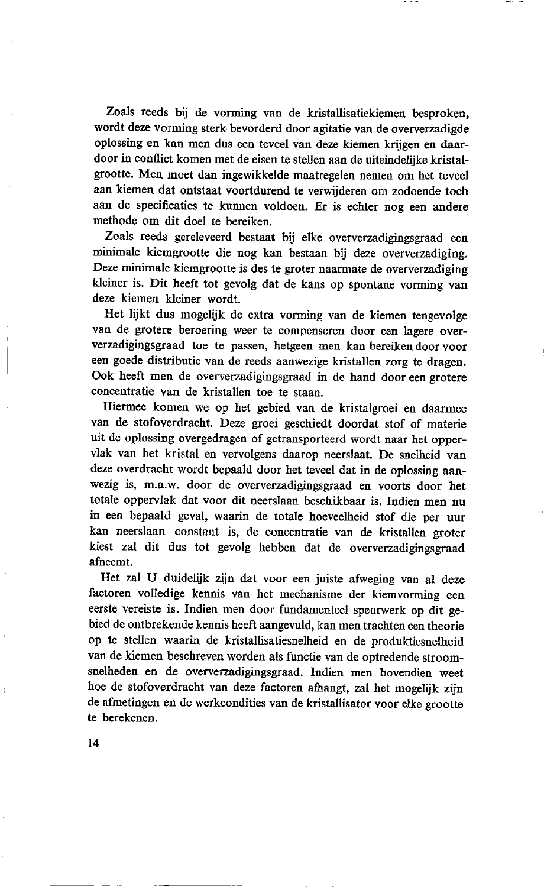Zoals reeds bij de vorming van de kristallisatiekiemen besproken. wordt deze vorming sterk bevorderd door agitatie van de oververzadigde oplossing en kan men dus een teveel van deze kiemen krijgen en daardoor in conflict komen met de eisen te stellen aan de uiteindelijke kristalgrootte. Men moet dan ingewikkelde maatregelen nemen om het teveel aan kiemen dat ontstaat voortdurend te verwijderen om zodoende toch aan de specificaties te kunnen voldoen. Er is echter nog een andere methode om dit doel te bereiken.

Zoals reeds gereleveerd bestaat bij elke oververzadigingsgraad een minimale kiemgrootte die nog kan bestaan bij deze oververzadiging. Deze minimale kiemgrootte is des te groter naarmate de oververzadiging kleiner is. Dit heeft tot gevolg dat de kans op spontane vorming van deze kiemen kleiner wordt.

Het lijkt dus mogelijk de extra vorming van de kiemen tengevolge van de grotere beroering weer te compenseren door een lagere oververzadigingsgraad toe te passen, hetgeen men kan bereiken door voor een goede distributie van de reeds aanwezige kristallen zorg te dragen. Ook heeft men de oververzadigingsgraad in de hand door een grotere concentratie van de kristallen toe te staan.

Hiermee komen we op het gebied van de kristalgroei en daarmee van de stofoverdracht. Deze groei geschiedt doordat stof of materie uit de oplossing overgedragen of getransporteerd wordt naar het oppervlak van het kristal en vervolgens daarop neerslaat. De snelheid van deze overdracht wordt bepaald door het teveel dat in de oplossing aanwezig is, m.a.w. door de oververzadigingsgraad en voorts door het totale oppervlak dat voor dit neerslaan beschikbaar is. Indien men nu in een bepaald geval, waarin de totale hoeveelheid stof die per uur kan neerslaan constant is, de concentratie van de kristallen groter kiest zal dit dus tot gevolg hebben dat de oververzadigingsgraad afneemt.

Het zal U duidelijk zijn dat voor een juiste afweging van al deze factoren volledige kennis van het mechanisme der kiemvorming een eerste vereiste is. Indien men door fundamenteel speurwerk op dit gebied de ontbrekende kennis heeft aangevuld, kan men trachten een theorie op te stellen waarin de kristallisatiesnelheid en de produktiesnelheid van de kiemen beschreven worden als functie van de optredende stroomsnelheden en de oververzadigingsgraad. Indien men bovendien weet hoe de stofoverdracht van deze factoren afhangt, zal het mogelijk zijn de afmetingen en de werkcondities van de kristallisator voor elke grootte te berekenen.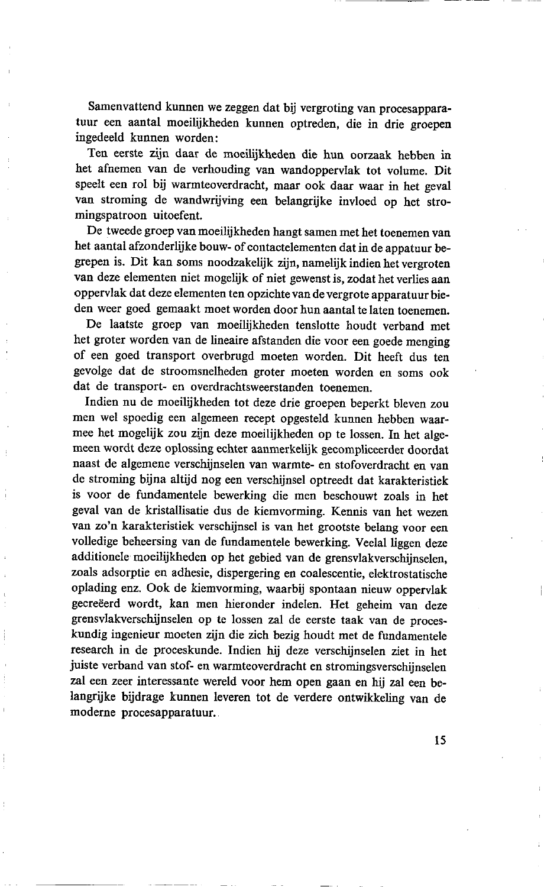Samenvattend kunnen we zeggen dat bij vergroting van procesapparatuur een aantal moeilijkheden kunnen optreden, die in drie groepen ingedeeld kunnen worden:

Ten eerste zijn daar de moeilijkheden die hun oorzaak hebben in het afnemen van de verhouding van wandoppervlak tot volume. Dit speelt een rol bij warmteoverdracht, maar ook daar waar in het geval van stroming de wandwrijving een belangrijke invloed op het stromingspatroon uitoefent.

De tweede groep van moeilijkheden hangt samen met het toenemen van het aantal afzonderlijke bouw- of contactelementen dat in de appatuur begrepen is. Dit kan soms noodzakelijk zijn, namelijk indien het vergroten van deze elementen niet mogelijk of niet gewenst is, zodat het verlies aan oppervlak dat deze elementen ten opzichte van de vergrote apparatuur bieden weer goed gemaakt moet worden door hun aantal te laten toenemen.

De laatste groep van moeilijkheden tenslotte houdt verband met het groter worden van de lineaire afstanden die voor een goede menging of een goed transport overbrugd moeten worden. Dit heeft dus ten gevolge dat de stroomsnelheden groter moeten worden en soms ook dat de transport- en overdrachtsweerstanden toenemen.

Indien nu de moeilijkheden tot deze drie groepen beperkt bleven zou men wel spoedig een algemeen recept opgesteld kunnen hebben waarmee het mogelijk zou zijn deze moeilijkheden op te lossen. In het algemeen wordt deze oplossing echter aanmerkelijk gecompliceerder doordat naast de algemene verschijnselen van warmte- en stofoverdracht en van de stroming bijna altijd nog een verschijnsel optreedt dat karakteristiek is voor de fundamentele bewerking die men beschouwt zoals in het geval van de kristallisatie dus de kiemvorming. Kennis van het wezen van zo'n karakteristiek verschijnsel is van het grootste belang voor een volledige beheersing van de fundamentele bewerking. Veelal liggen deze additionele moeilijkheden op het gebied van de grensvlakverschijnselen. zoals adsorptie en adhesie, dispergering en coalescentie, elektrostatische oplading enz. Ook de kiemvorming, waarbij spontaan nieuw oppervlak gecreëerd wordt, kan men hieronder indelen. Het geheim van deze grensvlakverschijnselen op te lossen zal de eerste taak van de proceskundig ingenieur moeten zijn die zich bezig houdt met de fundamentele research in de proceskunde. Indien hij deze verschijnselen ziet in het juiste verband van stof- en warmteoverdracht en stromingsverschijnselen zal een zeer interessante wereld voor hem open gaan en hij zal een belangrijke bijdrage kunnen leveren tot de verdere ontwikkeling van de moderne procesapparatuur.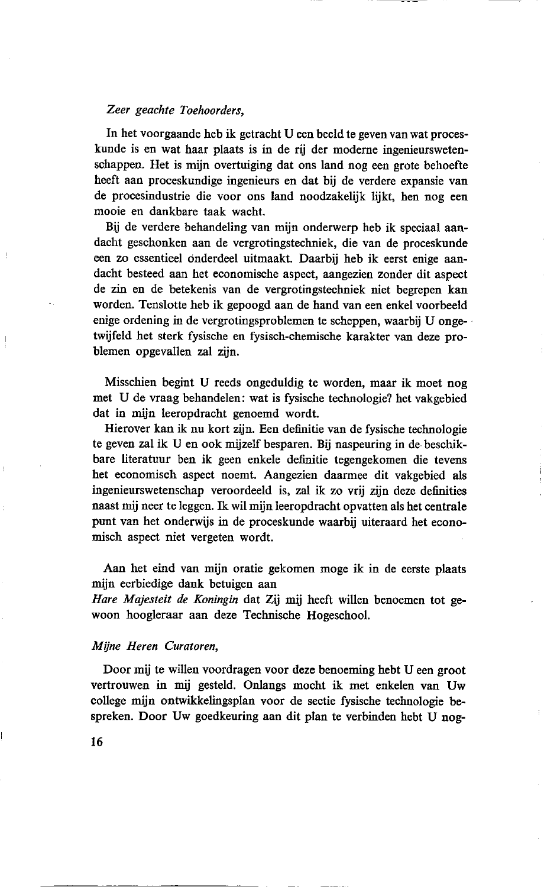#### Zeer geachte Toehoorders.

In het voorgaande heb ik getracht U een beeld te geven van wat proceskunde is en wat haar plaats is in de rij der moderne ingenieurswetenschappen. Het is mijn overtuiging dat ons land nog een grote behoefte heeft aan proceskundige ingenieurs en dat bij de verdere expansie van de procesindustrie die voor ons land noodzakelijk lijkt, hen nog een mooie en dankbare taak wacht.

Bij de verdere behandeling van mijn onderwerp heb ik speciaal aandacht geschonken aan de vergrotingstechniek, die van de proceskunde een zo essentieel onderdeel uitmaakt. Daarbij heb ik eerst enige aandacht besteed aan het economische aspect, aangezien zonder dit aspect de zin en de betekenis van de vergrotingstechniek niet begrepen kan worden. Tenslotte heb ik gepoogd aan de hand van een enkel voorbeeld enige ordening in de vergrotingsproblemen te scheppen, waarbij U ongetwijfeld het sterk fysische en fysisch-chemische karakter van deze problemen opgevallen zal zijn.

Misschien begint U reeds ongeduldig te worden, maar ik moet nog met U de vraag behandelen: wat is fysische technologie? het vakgebied dat in miin leeropdracht genoemd wordt.

Hierover kan ik nu kort zijn. Een definitie van de fysische technologie te geven zal ik U en ook mijzelf besparen. Bij naspeuring in de beschikbare literatuur ben ik geen enkele definitie tegengekomen die tevens het economisch aspect noemt. Aangezien daarmee dit vakgebied als ingenieurswetenschap veroordeeld is, zal ik zo vrij zijn deze definities naast mij neer te leggen. Ik wil mijn leeropdracht opvatten als het centrale punt van het onderwijs in de proceskunde waarbij uiteraard het economisch aspect niet vergeten wordt.

Aan het eind van mijn oratie gekomen moge ik in de eerste plaats mijn eerbiedige dank betuigen aan

Hare Majesteit de Koningin dat Zij mij heeft willen benoemen tot gewoon hoogleraar aan deze Technische Hogeschool.

#### Mijne Heren Curatoren,

Door mij te willen voordragen voor deze benoeming hebt U een groot vertrouwen in mij gesteld. Onlangs mocht ik met enkelen van Uw college mijn ontwikkelingsplan voor de sectie fysische technologie bespreken. Door Uw goedkeuring aan dit plan te verbinden hebt U nog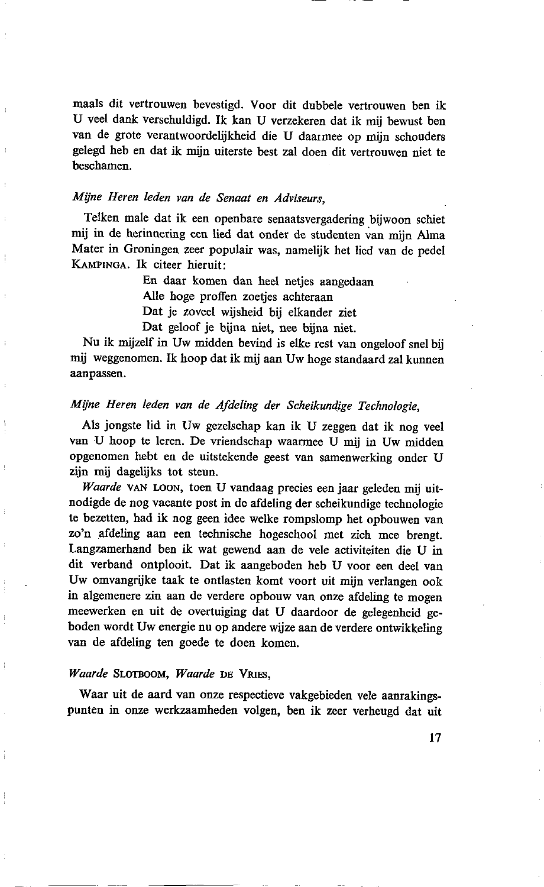maals dit vertrouwen bevestigd. Voor dit dubbele vertrouwen ben ik U veel dank verschuldigd. Ik kan U verzekeren dat ik mij bewust ben van de grote verantwoordelijkheid die U daarmee op mijn schouders gelegd heb en dat ik mijn uiterste best zal doen dit vertrouwen niet te heschamen.

#### Mijne Heren leden van de Senaat en Adviseurs.

Telken male dat ik een openbare senaatsvergadering bijwoon schiet mij in de herinnering een lied dat onder de studenten van mijn Alma Mater in Groningen zeer populair was, namelijk het lied van de pedel KAMPINGA. Ik citeer hieruit:

> En daar komen dan heel netjes aangedaan Alle hoge proffen zoetjes achteraan

Dat je zoveel wijsheid bij elkander ziet

Dat geloof je bijna niet, nee bijna niet.

Nu ik mijzelf in Uw midden bevind is elke rest van ongeloof snel bij mij weggenomen. Ik hoop dat ik mij aan Uw hoge standaard zal kunnen aanpassen.

#### Mijne Heren leden van de Afdeling der Scheikundige Technologie.

Als jongste lid in Uw gezelschap kan ik U zeggen dat ik nog veel van U hoop te leren. De vriendschap waarmee U mij in Uw midden opgenomen hebt en de uitstekende geest van samenwerking onder U zijn mij dagelijks tot steun.

Waarde VAN LOON, toen U vandaag precies een jaar geleden mij uitnodigde de nog vacante post in de afdeling der scheikundige technologie te bezetten, had ik nog geen idee welke rompslomp het opbouwen van zo'n afdeling aan een technische hogeschool met zich mee brengt. Langzamerhand ben ik wat gewend aan de vele activiteiten die U in dit verband ontplooit. Dat ik aangeboden heb U voor een deel van Uw omvangrijke taak te ontlasten komt voort uit mijn verlangen ook in algemenere zin aan de verdere opbouw van onze afdeling te mogen meewerken en uit de overtuiging dat U daardoor de gelegenheid geboden wordt Uw energie nu op andere wijze aan de verdere ontwikkeling van de afdeling ten goede te doen komen.

#### Waarde SLOTBOOM, Waarde DE VRIES,

Waar uit de aard van onze respectieve vakgebieden vele aanrakingspunten in onze werkzaamheden volgen, ben ik zeer verheugd dat uit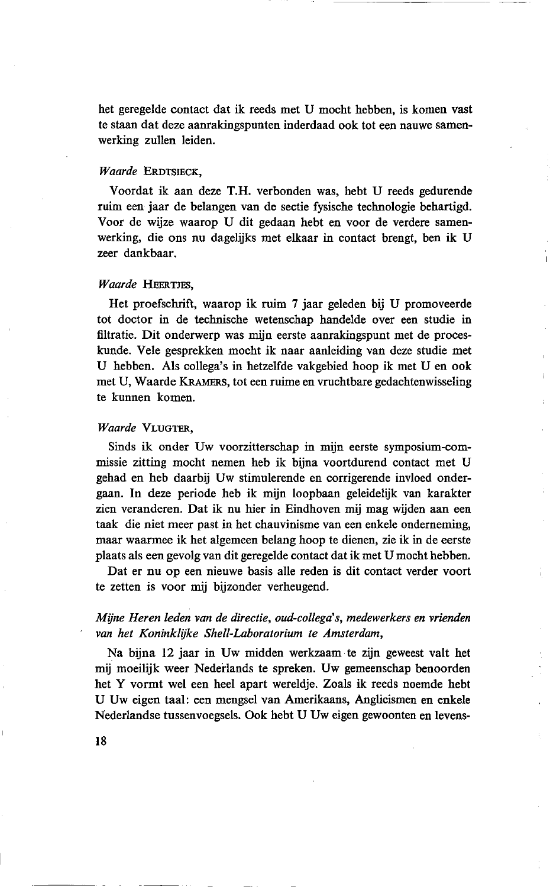het geregelde contact dat ik reeds met U mocht hebben, is komen vast te staan dat deze aanrakingspunten inderdaad ook tot een nauwe samenwerking zullen leiden.

#### Waarde ERDTSIECK,

Voordat ik aan deze T.H. verbonden was, hebt U reeds gedurende ruim een jaar de belangen van de sectie fysische technologie behartigd. Voor de wijze waarop U dit gedaan hebt en voor de verdere samenwerking, die ons nu dagelijks met elkaar in contact brengt, ben ik U zeer dankhaar

#### Waarde HEERTJES.

Het proefschrift, waarop ik ruim 7 jaar geleden bij U promoveerde tot doctor in de technische wetenschap handelde over een studie in filtratie. Dit onderwerp was mijn eerste aanrakingspunt met de proceskunde. Vele gesprekken mocht ik naar aanleiding van deze studie met U hebben. Als collega's in hetzelfde vakgebied hoop ik met U en ook met U, Waarde KRAMERS, tot een ruime en vruchtbare gedachtenwisseling te kunnen komen.

#### Waarde VLUGTER.

Sinds ik onder Uw voorzitterschap in mijn eerste symposium-commissie zitting mocht nemen heb ik bijna voortdurend contact met U gehad en heb daarbij Uw stimulerende en corrigerende invloed ondergaan. In deze periode heb ik mijn loopbaan geleidelijk van karakter zien veranderen. Dat ik nu hier in Eindhoven mij mag wijden aan een taak die niet meer past in het chauvinisme van een enkele onderneming, maar waarmee ik het algemeen belang hoop te dienen, zie ik in de eerste plaats als een gevolg van dit geregelde contact dat ik met U mocht hebben.

Dat er nu op een nieuwe basis alle reden is dit contact verder voort te zetten is voor mij bijzonder verheugend.

### Mijne Heren leden van de directie, oud-collega's, medewerkers en vrienden van het Koninklijke Shell-Laboratorium te Amsterdam,

Na bijna 12 jaar in Uw midden werkzaam te zijn geweest valt het mij moeilijk weer Nederlands te spreken. Uw gemeenschap benoorden het Y vormt wel een heel apart wereldje. Zoals ik reeds noemde hebt U Uw eigen taal: een mengsel van Amerikaans, Anglicismen en enkele Nederlandse tussenvoegsels. Ook hebt U Uw eigen gewoonten en levens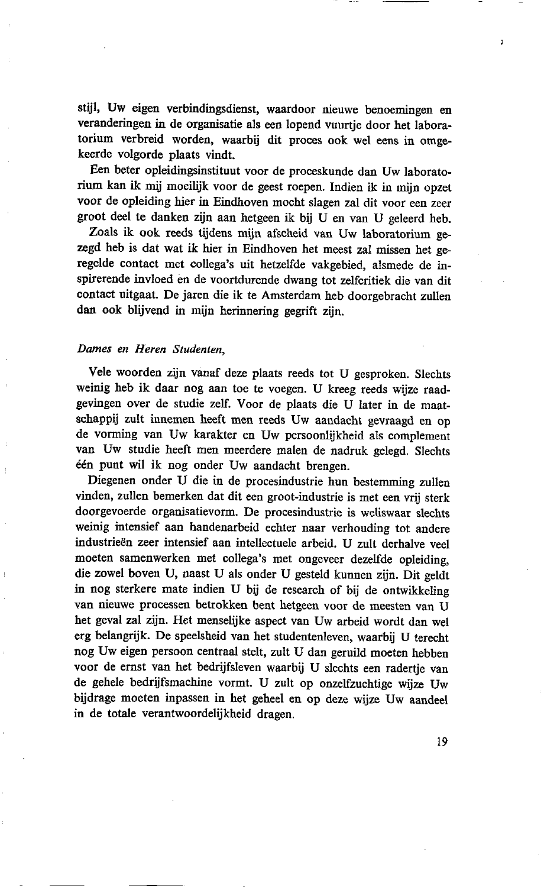stijl, Uw eigen verbindingsdienst, waardoor nieuwe benoemingen en veranderingen in de organisatie als een lopend vuurtje door het laboratorium verbreid worden, waarbij dit proces ook wel eens in omgekeerde volgorde plaats vindt.

Een beter opleidingsinstituut voor de proceskunde dan Uw laboratorium kan ik mij moeilijk voor de geest roepen. Indien ik in mijn opzet voor de opleiding hier in Eindhoven mocht slagen zal dit voor een zeer groot deel te danken zijn aan hetgeen ik bij U en van U geleerd heb.

Zoals ik ook reeds tijdens mijn afscheid van Uw laboratorium gezegd heb is dat wat ik hier in Eindhoven het meest zal missen het geregelde contact met collega's uit hetzelfde vakgebied, alsmede de inspirerende invloed en de voortdurende dwang tot zelfcritiek die van dit contact uitgaat. De jaren die ik te Amsterdam heb doorgebracht zullen dan ook blijvend in mijn herinnering gegrift zijn.

#### Dames en Heren Studenten.

Vele woorden zijn vanaf deze plaats reeds tot U gesproken. Slechts weinig heb ik daar nog aan toe te voegen. U kreeg reeds wijze raadgevingen over de studie zelf. Voor de plaats die U later in de maatschappij zult innemen heeft men reeds Uw aandacht gevraagd en op de vorming van Uw karakter en Uw persoonlijkheid als complement van Uw studie heeft men meerdere malen de nadruk gelegd. Slechts één punt wil ik nog onder Uw aandacht brengen.

Diegenen onder U die in de procesindustrie hun bestemming zullen vinden, zullen bemerken dat dit een groot-industrie is met een vrij sterk doorgevoerde organisatievorm. De procesindustrie is weliswaar slechts weinig intensief aan handenarbeid echter naar verhouding tot andere industrieën zeer intensief aan intellectuele arbeid. U zult derhalve veel moeten samenwerken met collega's met ongeveer dezelfde opleiding, die zowel boven U, naast U als onder U gesteld kunnen zijn. Dit geldt in nog sterkere mate indien U bij de research of bij de ontwikkeling van nieuwe processen betrokken bent hetgeen voor de meesten van U het geval zal zijn. Het menselijke aspect van Uw arbeid wordt dan wel erg belangrijk. De speelsheid van het studentenleven, waarbij U terecht nog Uw eigen persoon centraal stelt, zult U dan geruild moeten hebben voor de ernst van het bedrijfsleven waarbij U slechts een radertje van de gehele bedrijfsmachine vormt. U zult op onzelfzuchtige wijze Uw bijdrage moeten inpassen in het geheel en op deze wijze Uw aandeel in de totale verantwoordelijkheid dragen.

J